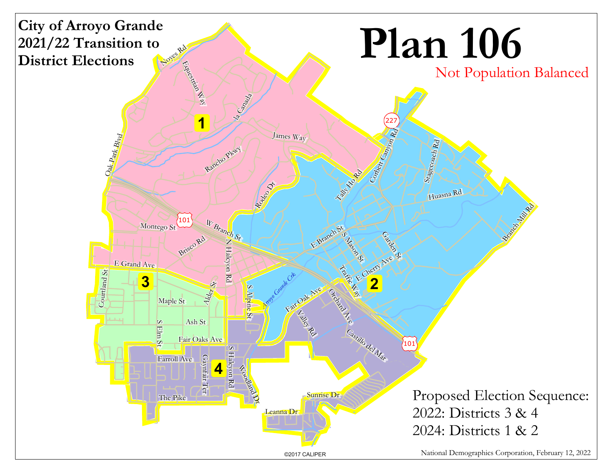